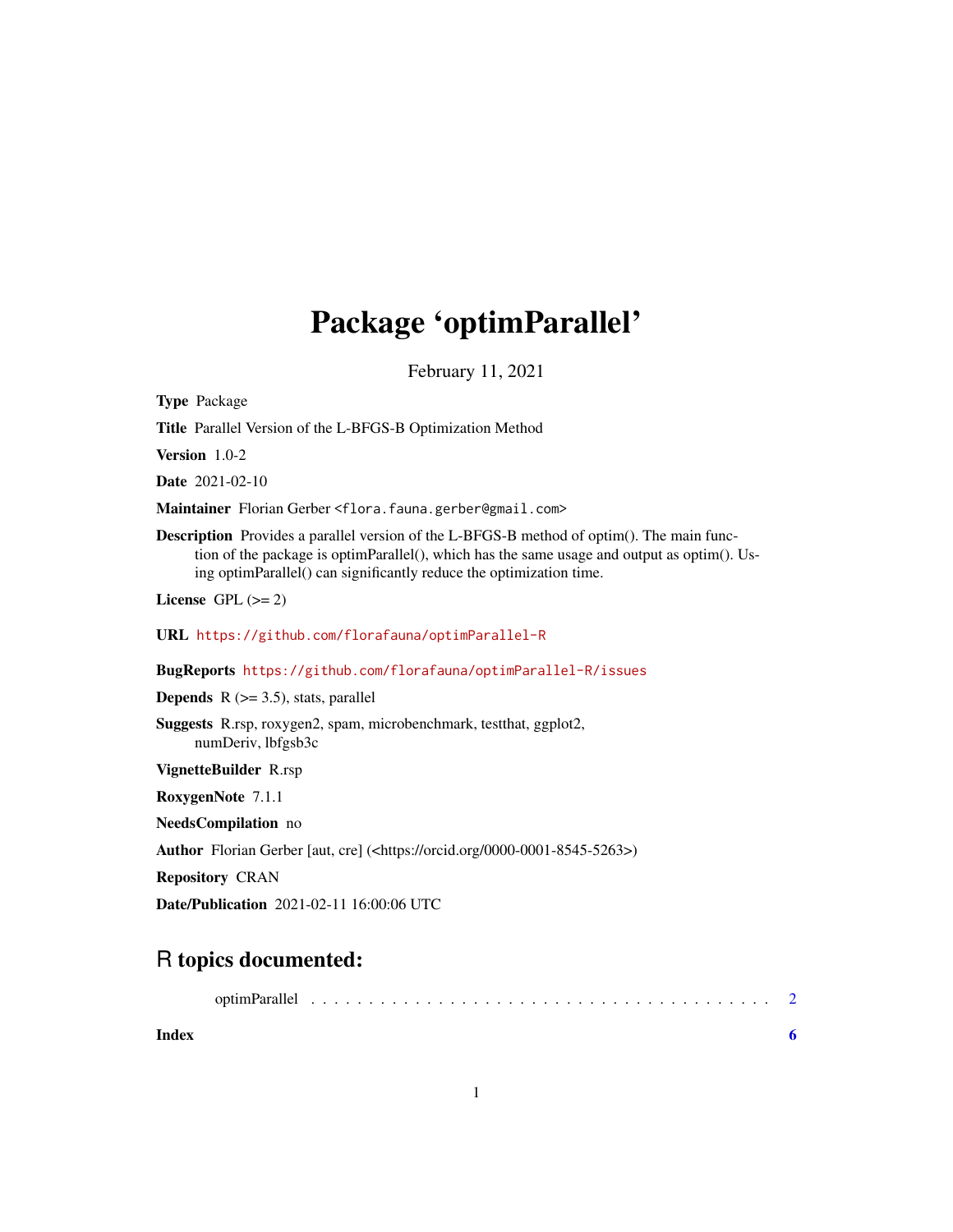## Package 'optimParallel'

February 11, 2021

<span id="page-0-0"></span>Type Package

Title Parallel Version of the L-BFGS-B Optimization Method

Version 1.0-2

Date 2021-02-10

Maintainer Florian Gerber <flora.fauna.gerber@gmail.com>

Description Provides a parallel version of the L-BFGS-B method of optim(). The main function of the package is optimParallel(), which has the same usage and output as optim(). Using optimParallel() can significantly reduce the optimization time.

License GPL  $(>= 2)$ 

URL <https://github.com/florafauna/optimParallel-R>

BugReports <https://github.com/florafauna/optimParallel-R/issues>

**Depends** R  $(>= 3.5)$ , stats, parallel

Suggests R.rsp, roxygen2, spam, microbenchmark, testthat, ggplot2, numDeriv, lbfgsb3c

VignetteBuilder R.rsp

RoxygenNote 7.1.1

NeedsCompilation no

Author Florian Gerber [aut, cre] (<https://orcid.org/0000-0001-8545-5263>)

Repository CRAN

Date/Publication 2021-02-11 16:00:06 UTC

### R topics documented:

| Index |  |  |  |  |  |  |  |  |  |  |  |  |  |  |  |  |
|-------|--|--|--|--|--|--|--|--|--|--|--|--|--|--|--|--|

1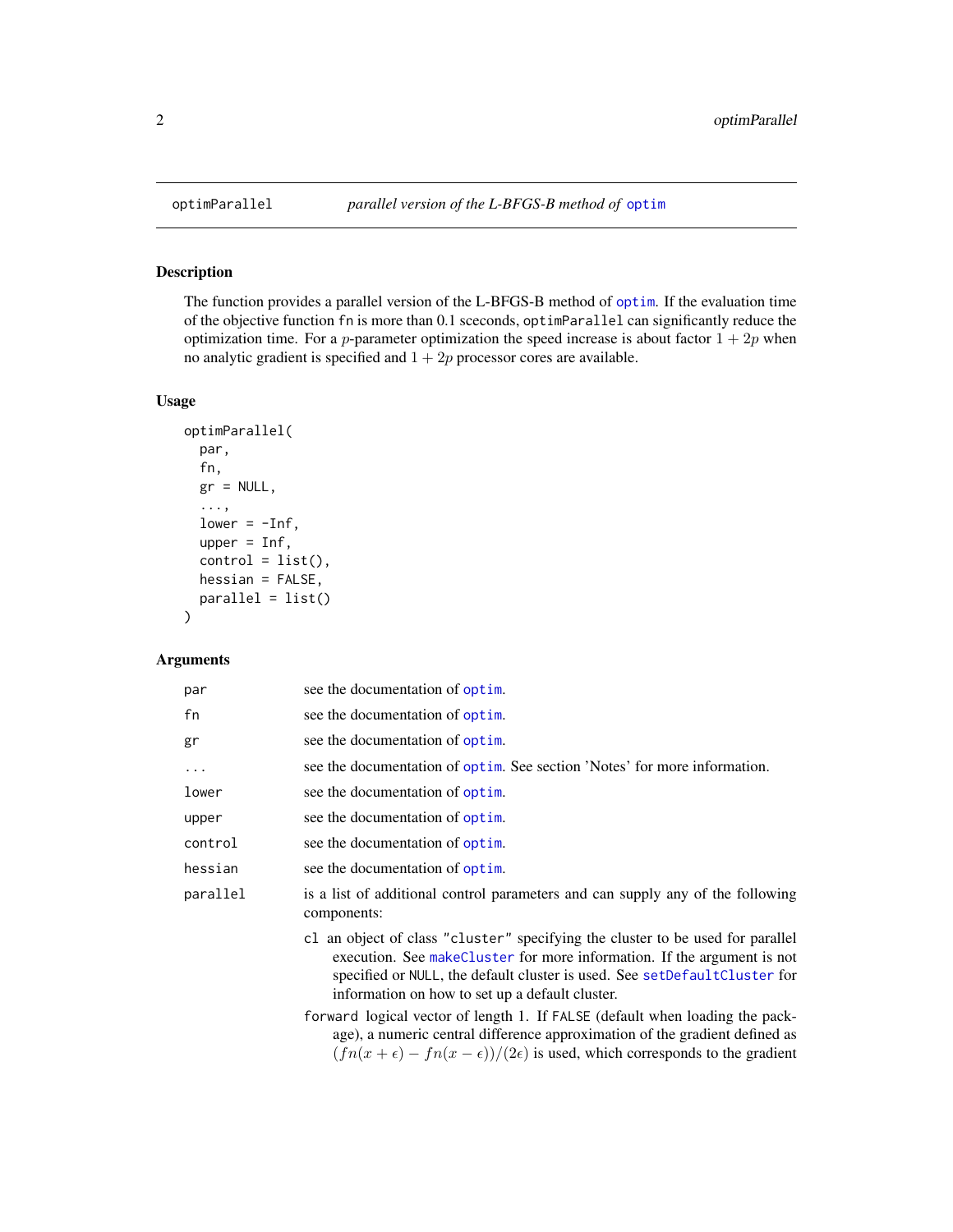<span id="page-1-0"></span>

#### Description

The function provides a parallel version of the L-BFGS-B method of [optim](#page-0-0). If the evaluation time of the objective function fn is more than 0.1 sceconds, optimParallel can significantly reduce the optimization time. For a p-parameter optimization the speed increase is about factor  $1 + 2p$  when no analytic gradient is specified and  $1 + 2p$  processor cores are available.

#### Usage

```
optimParallel(
  par,
  fn,
  gr = NULL,...,
  lower = -Inf,upper = Inf,
  control = list(),hessian = FALSE,
  parallel = list()
\mathcal{E}
```
#### Arguments

| par      | see the documentation of optim.                                                                                                                                                                                                                                                            |
|----------|--------------------------------------------------------------------------------------------------------------------------------------------------------------------------------------------------------------------------------------------------------------------------------------------|
| fn       | see the documentation of optim.                                                                                                                                                                                                                                                            |
| gr       | see the documentation of optim.                                                                                                                                                                                                                                                            |
| $\ddots$ | see the documentation of optim. See section 'Notes' for more information.                                                                                                                                                                                                                  |
| lower    | see the documentation of optim.                                                                                                                                                                                                                                                            |
| upper    | see the documentation of optim.                                                                                                                                                                                                                                                            |
| control  | see the documentation of optim.                                                                                                                                                                                                                                                            |
| hessian  | see the documentation of optim.                                                                                                                                                                                                                                                            |
| parallel | is a list of additional control parameters and can supply any of the following<br>components:                                                                                                                                                                                              |
|          | c1 an object of class "cluster" specifying the cluster to be used for parallel<br>execution. See make Cluster for more information. If the argument is not<br>specified or NULL, the default cluster is used. See setDefaultCluster for<br>information on how to set up a default cluster. |
|          | forward logical vector of length 1. If FALSE (default when loading the pack-<br>ago) a numaria gantual differenza generazionation of the quediant defined eq                                                                                                                               |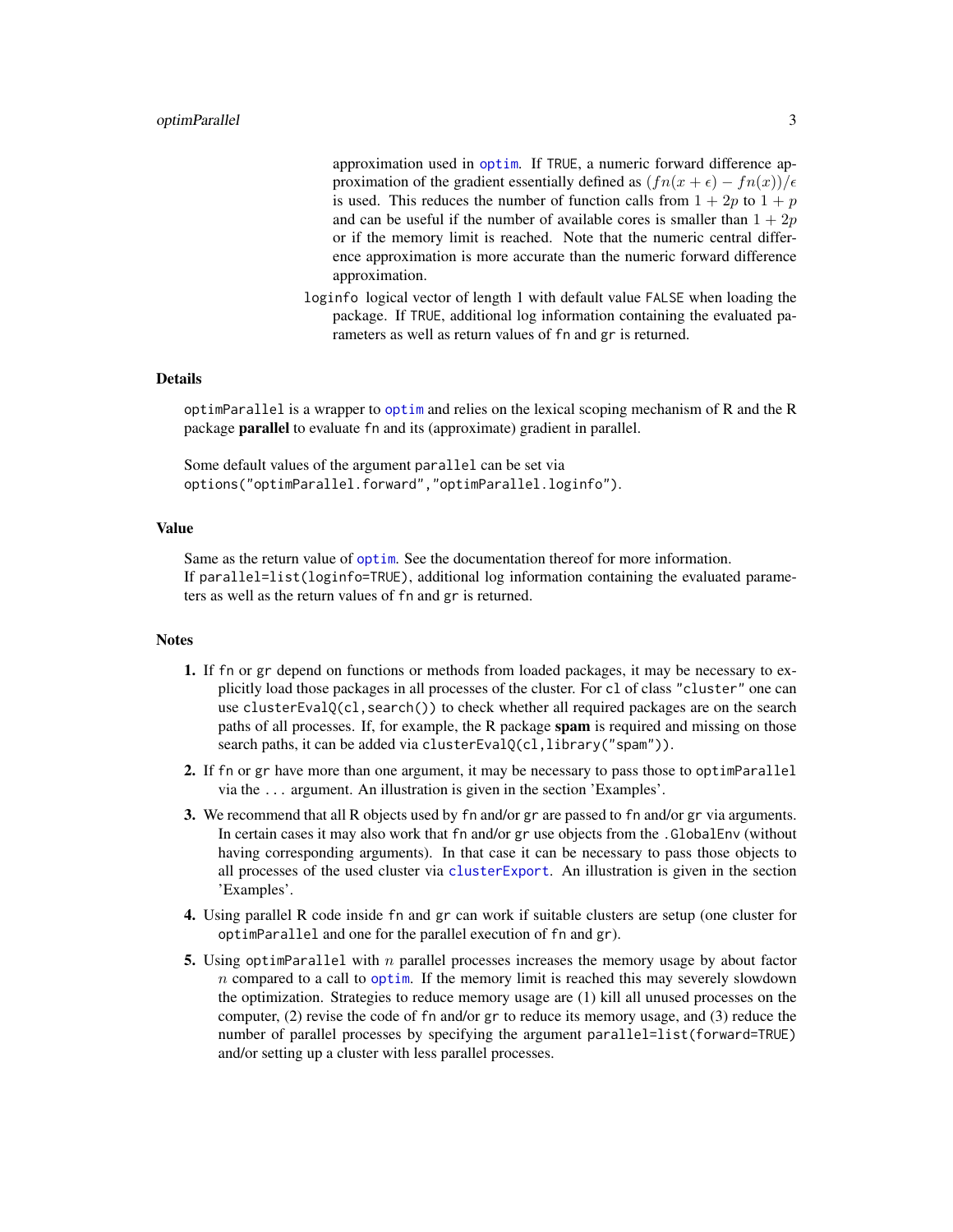<span id="page-2-0"></span>approximation used in [optim](#page-0-0). If TRUE, a numeric forward difference approximation of the gradient essentially defined as  $(fn(x + \epsilon) - fn(x))/\epsilon$ is used. This reduces the number of function calls from  $1 + 2p$  to  $1 + p$ and can be useful if the number of available cores is smaller than  $1 + 2p$ or if the memory limit is reached. Note that the numeric central difference approximation is more accurate than the numeric forward difference approximation.

loginfo logical vector of length 1 with default value FALSE when loading the package. If TRUE, additional log information containing the evaluated parameters as well as return values of fn and gr is returned.

#### Details

optimParallel is a wrapper to [optim](#page-0-0) and relies on the lexical scoping mechanism of R and the R package **parallel** to evaluate fn and its (approximate) gradient in parallel.

Some default values of the argument parallel can be set via options("optimParallel.forward","optimParallel.loginfo").

#### Value

Same as the return value of [optim](#page-0-0). See the documentation thereof for more information. If parallel=list(loginfo=TRUE), additional log information containing the evaluated parameters as well as the return values of fn and gr is returned.

#### **Notes**

- 1. If fn or gr depend on functions or methods from loaded packages, it may be necessary to explicitly load those packages in all processes of the cluster. For cl of class "cluster" one can use clusterEvalQ(cl, search()) to check whether all required packages are on the search paths of all processes. If, for example, the R package spam is required and missing on those search paths, it can be added via clusterEvalQ(cl, library("spam")).
- 2. If fn or gr have more than one argument, it may be necessary to pass those to optimParallel via the ... argument. An illustration is given in the section 'Examples'.
- 3. We recommend that all R objects used by fn and/or gr are passed to fn and/or gr via arguments. In certain cases it may also work that fn and/or gr use objects from the .GlobalEnv (without having corresponding arguments). In that case it can be necessary to pass those objects to all processes of the used cluster via [clusterExport](#page-0-0). An illustration is given in the section 'Examples'.
- 4. Using parallel R code inside fn and gr can work if suitable clusters are setup (one cluster for optimParallel and one for the parallel execution of fn and gr).
- 5. Using optimParallel with n parallel processes increases the memory usage by about factor  $n$  compared to a call to [optim](#page-0-0). If the memory limit is reached this may severely slowdown the optimization. Strategies to reduce memory usage are (1) kill all unused processes on the computer, (2) revise the code of fn and/or gr to reduce its memory usage, and (3) reduce the number of parallel processes by specifying the argument parallel=list(forward=TRUE) and/or setting up a cluster with less parallel processes.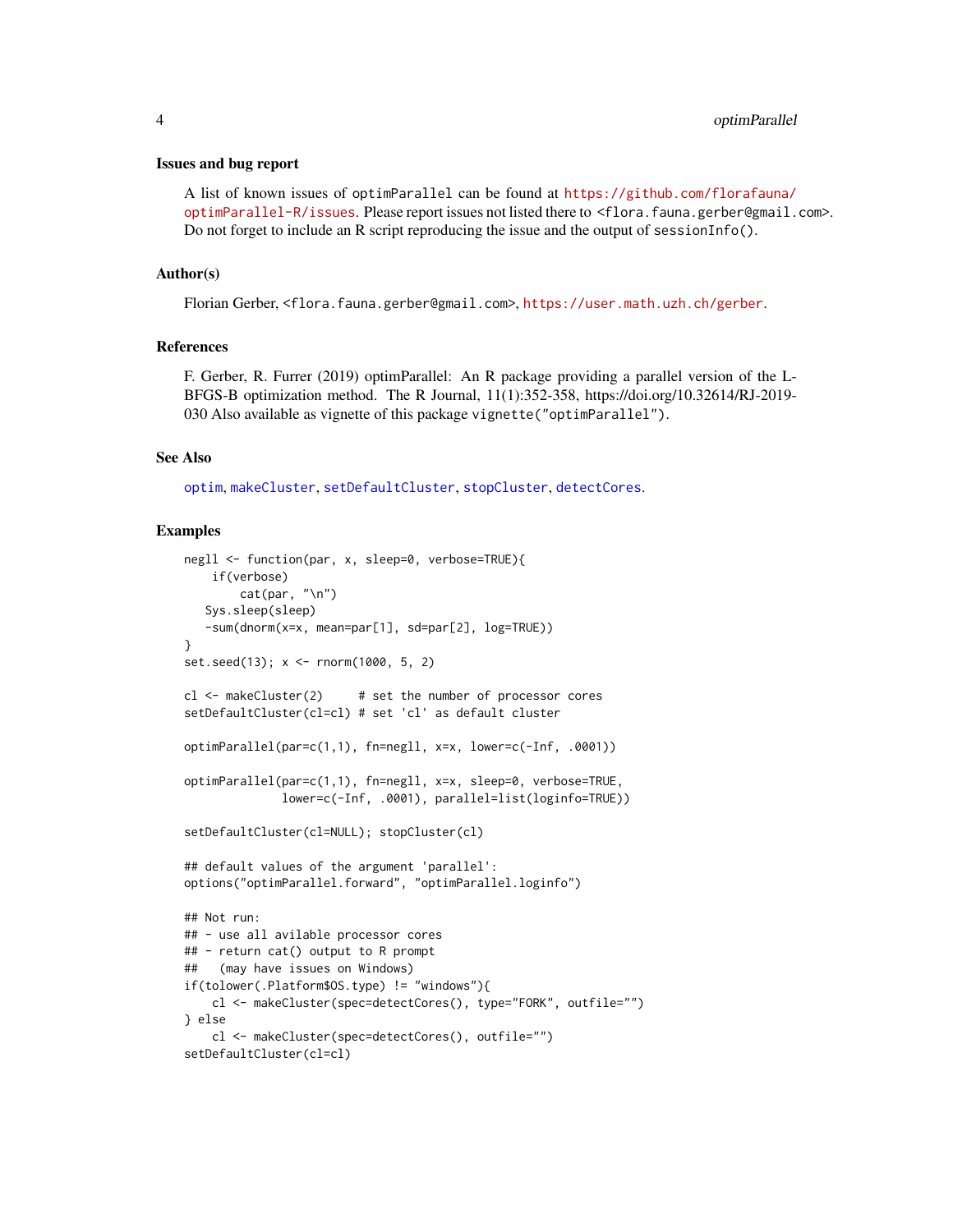#### <span id="page-3-0"></span>Issues and bug report

A list of known issues of optimParallel can be found at [https://github.com/florafauna/](https://github.com/florafauna/optimParallel-R/issues) [optimParallel-R/issues](https://github.com/florafauna/optimParallel-R/issues). Please report issues not listed there to <flora.fauna.gerber@gmail.com>. Do not forget to include an R script reproducing the issue and the output of sessionInfo().

#### Author(s)

Florian Gerber, <flora.fauna.gerber@gmail.com>, <https://user.math.uzh.ch/gerber>.

#### References

F. Gerber, R. Furrer (2019) optimParallel: An R package providing a parallel version of the L-BFGS-B optimization method. The R Journal, 11(1):352-358, https://doi.org/10.32614/RJ-2019- 030 Also available as vignette of this package vignette("optimParallel").

#### See Also

[optim](#page-0-0), [makeCluster](#page-0-0), [setDefaultCluster](#page-0-0), [stopCluster](#page-0-0), [detectCores](#page-0-0).

#### Examples

```
negll <- function(par, x, sleep=0, verbose=TRUE){
   if(verbose)
       cat(par, "\n")
  Sys.sleep(sleep)
   -sum(dnorm(x=x, mean=par[1], sd=par[2], log=TRUE))
}
set.seed(13); x <- rnorm(1000, 5, 2)
cl <- makeCluster(2) # set the number of processor cores
setDefaultCluster(cl=cl) # set 'cl' as default cluster
optimParallel(par=c(1,1), fn=negll, x=x, lower=c(-Inf, .0001))
optimParallel(par=c(1,1), fn=negll, x=x, sleep=0, verbose=TRUE,
              lower=c(-Inf, .0001), parallel=list(loginfo=TRUE))
setDefaultCluster(cl=NULL); stopCluster(cl)
## default values of the argument 'parallel':
options("optimParallel.forward", "optimParallel.loginfo")
## Not run:
## - use all avilable processor cores
## - return cat() output to R prompt
## (may have issues on Windows)
if(tolower(.Platform$OS.type) != "windows"){
   cl <- makeCluster(spec=detectCores(), type="FORK", outfile="")
} else
   cl <- makeCluster(spec=detectCores(), outfile="")
setDefaultCluster(cl=cl)
```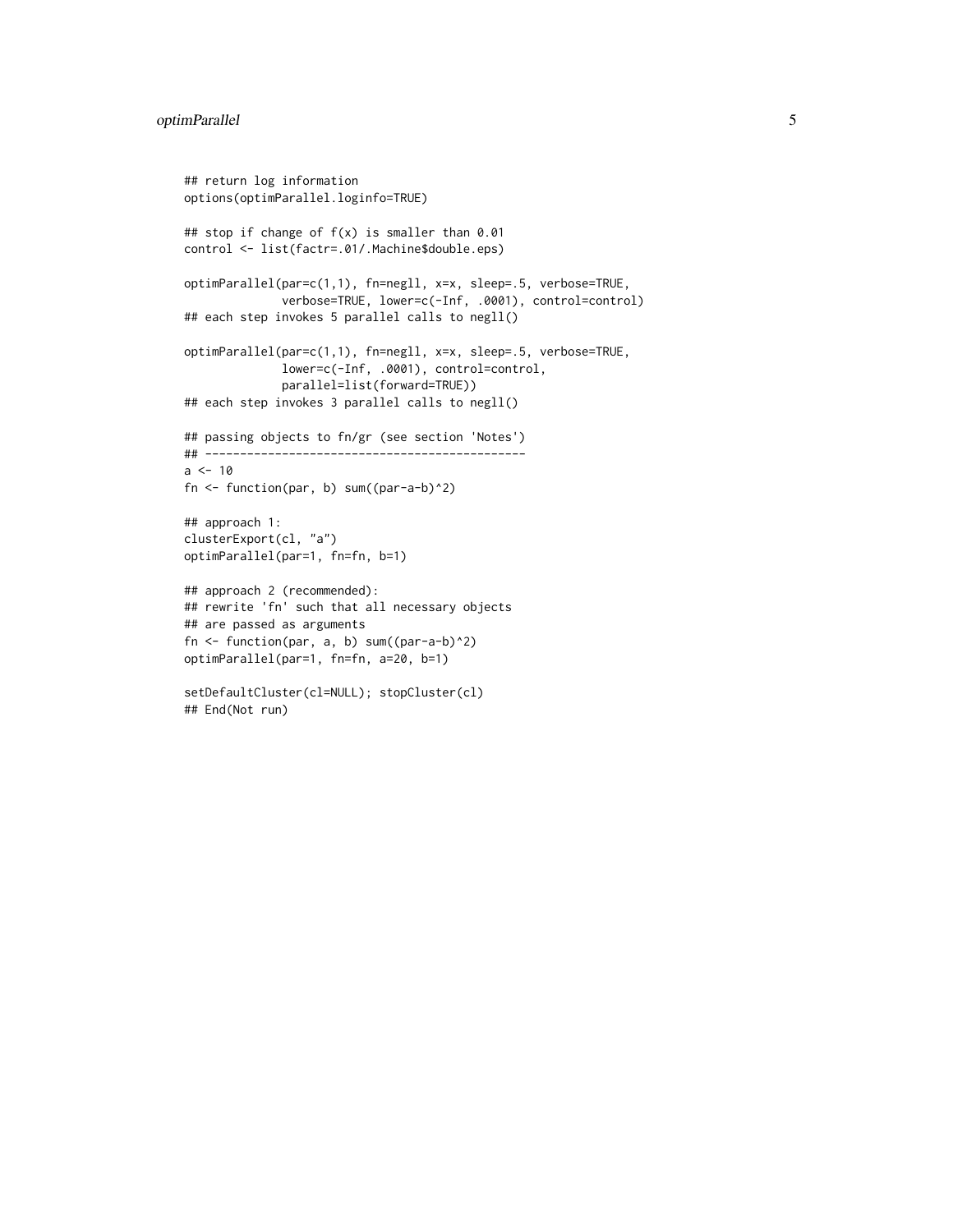```
## return log information
options(optimParallel.loginfo=TRUE)
## stop if change of f(x) is smaller than 0.01
control <- list(factr=.01/.Machine$double.eps)
optimParallel(par=c(1,1), fn=negll, x=x, sleep=.5, verbose=TRUE,
              verbose=TRUE, lower=c(-Inf, .0001), control=control)
## each step invokes 5 parallel calls to negll()
optimParallel(par=c(1,1), fn=negll, x=x, sleep=.5, verbose=TRUE,
              lower=c(-Inf, .0001), control=control,
              parallel=list(forward=TRUE))
## each step invokes 3 parallel calls to negll()
## passing objects to fn/gr (see section 'Notes')
## ----------------------------------------------
a < -10fn <- function(par, b) sum((par-a-b)^2)
## approach 1:
clusterExport(cl, "a")
optimParallel(par=1, fn=fn, b=1)
## approach 2 (recommended):
## rewrite 'fn' such that all necessary objects
## are passed as arguments
fn <- function(par, a, b) sum((par-a-b)^2)
optimParallel(par=1, fn=fn, a=20, b=1)
setDefaultCluster(cl=NULL); stopCluster(cl)
## End(Not run)
```